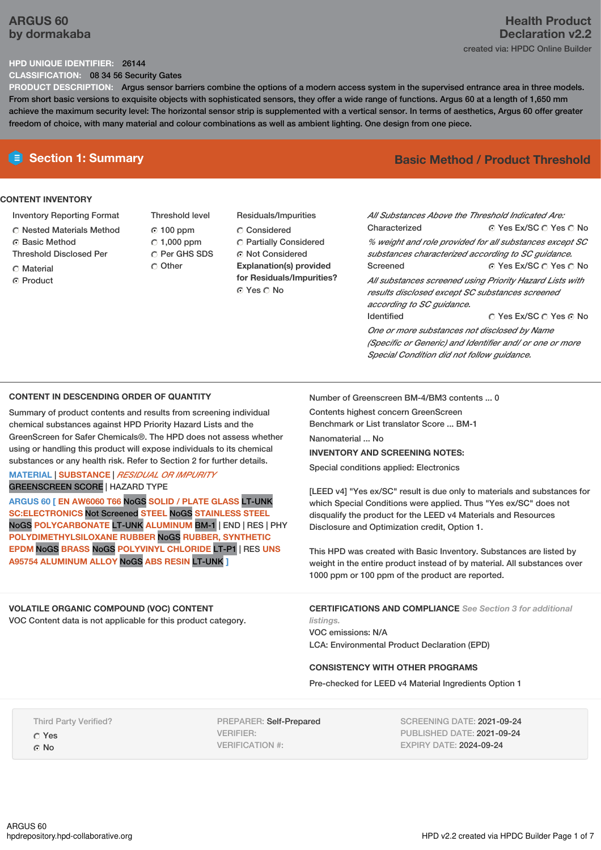# **ARGUS 60 by dormakaba**

# **Health Product Declaration v2.2** created via: HPDC Online Builder

### **HPD UNIQUE IDENTIFIER:** 26144

**CLASSIFICATION:** 08 34 56 Security Gates

**PRODUCT DESCRIPTION:** Argus sensor barriers combine the options of a modern access system in the supervised entrance area in three models. From short basic versions to exquisite objects with sophisticated sensors, they offer a wide range of functions. Argus 60 at a length of 1,650 mm achieve the maximum security level: The horizontal sensor strip is supplemented with a vertical sensor. In terms of aesthetics, Argus 60 offer greater freedom of choice, with many material and colour combinations as well as ambient lighting. One design from one piece.

### **CONTENT INVENTORY**

- Inventory Reporting Format
- Nested Materials Method
- **G** Basic Method
- Threshold Disclosed Per
- **C** Material
- C Product
- Threshold level  $0.100$  ppm  $C$  1,000 ppm C Per GHS SDS Other
- Residuals/Impurities Considered Partially Considered Not Considered **Explanation(s) provided for Residuals/Impurities?** © Yes ∩ No

# **E** Section 1: Summary **Basic Method /** Product Threshold

© Yes Ex/SC ∩ Yes ∩ No © Yes Ex/SC  $\bigcirc$  Yes  $\bigcirc$  No © Yes Ex/SC © Yes © No *All Substances Above the Threshold Indicated Are:* Characterized *% weight and role provided for all substances except SC substances characterized according to SC guidance.* Screened *All substances screened using Priority Hazard Lists with results disclosed except SC substances screened according to SC guidance.* Identified

*One or more substances not disclosed by Name (Specific or Generic) and Identifier and/ or one or more Special Condition did not follow guidance.*

### **CONTENT IN DESCENDING ORDER OF QUANTITY**

Summary of product contents and results from screening individual chemical substances against HPD Priority Hazard Lists and the GreenScreen for Safer Chemicals®. The HPD does not assess whether using or handling this product will expose individuals to its chemical substances or any health risk. Refer to Section 2 for further details.

### **MATERIAL** | **SUBSTANCE** | *RESIDUAL OR IMPURITY* GREENSCREEN SCORE | HAZARD TYPE

**ARGUS 60 [ EN AW6060 T66** NoGS **SOLID / PLATE GLASS** LT-UNK **SC:ELECTRONICS** Not Screened **STEEL** NoGS **STAINLESS STEEL** NoGS **POLYCARBONATE** LT-UNK **ALUMINUM** BM-1 | END | RES | PHY **POLYDIMETHYLSILOXANE RUBBER** NoGS **RUBBER, SYNTHETIC EPDM** NoGS **BRASS** NoGS **POLYVINYL CHLORIDE** LT-P1 | RES **UNS A95754 ALUMINUM ALLOY** NoGS **ABS RESIN** LT-UNK **]**

### **VOLATILE ORGANIC COMPOUND (VOC) CONTENT**

VOC Content data is not applicable for this product category.

Number of Greenscreen BM-4/BM3 contents ... 0

Contents highest concern GreenScreen Benchmark or List translator Score ... BM-1 Nanomaterial ... No

### **INVENTORY AND SCREENING NOTES:**

Special conditions applied: Electronics

[LEED v4] "Yes ex/SC" result is due only to materials and substances for which Special Conditions were applied. Thus "Yes ex/SC" does not disqualify the product for the LEED v4 Materials and Resources Disclosure and Optimization credit, Option 1.

This HPD was created with Basic Inventory. Substances are listed by weight in the entire product instead of by material. All substances over 1000 ppm or 100 ppm of the product are reported.

**CERTIFICATIONS AND COMPLIANCE** *See Section 3 for additional listings.*

VOC emissions: N/A LCA: Environmental Product Declaration (EPD)

### **CONSISTENCY WITH OTHER PROGRAMS**

Pre-checked for LEED v4 Material Ingredients Option 1

Third Party Verified? Yes G No

PREPARER: Self-Prepared VERIFIER: VERIFICATION #:

SCREENING DATE: 2021-09-24 PUBLISHED DATE: 2021-09-24 EXPIRY DATE: 2024-09-24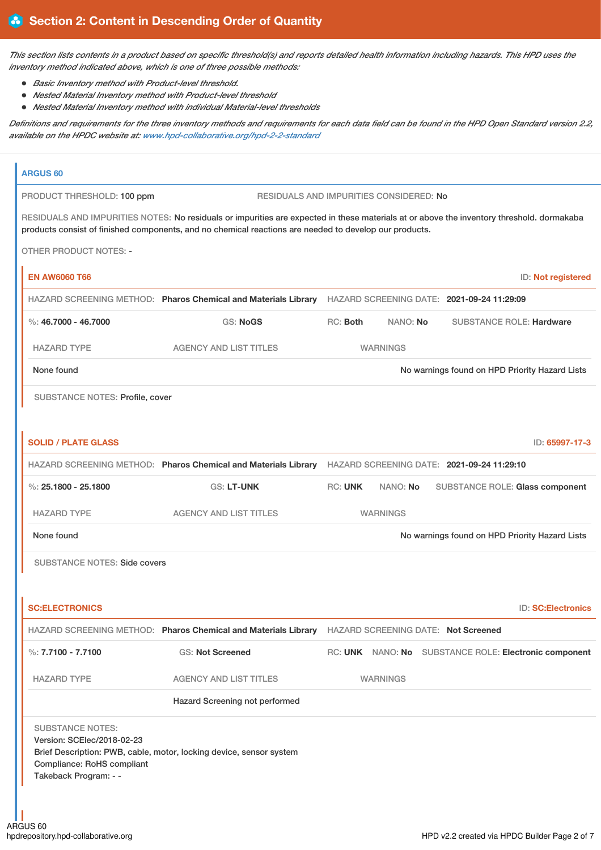This section lists contents in a product based on specific threshold(s) and reports detailed health information including hazards. This HPD uses the *inventory method indicated above, which is one of three possible methods:*

- *Basic Inventory method with Product-level threshold.*
- *Nested Material Inventory method with Product-level threshold*
- *Nested Material Inventory method with individual Material-level thresholds*

Definitions and requirements for the three inventory methods and requirements for each data field can be found in the HPD Open Standard version 2.2, *available on the HPDC website at: [www.hpd-collaborative.org/hpd-2-2-standard](https://www.hpd-collaborative.org/hpd-2-2-standard)*

# **ARGUS 60** PRODUCT THRESHOLD: 100 ppm RESIDUALS AND IMPURITIES CONSIDERED: No RESIDUALS AND IMPURITIES NOTES: No residuals or impurities are expected in these materials at or above the inventory threshold. dormakaba products consist of finished components, and no chemical reactions are needed to develop our products. OTHER PRODUCT NOTES: - **EN AW6060 T66** ID: **Not registered** HAZARD SCREENING METHOD: **Pharos Chemical and Materials Library** HAZARD SCREENING DATE: **2021-09-24 11:29:09** %: **46.7000 - 46.7000** GS: **NoGS** RC: **Both** NANO: **No** SUBSTANCE ROLE: **Hardware** HAZARD TYPE AGENCY AND LIST TITLES WARNINGS None found Now the Priority Hazard Lists **Now the Internal Control on HPD Priority Hazard Lists** Now and The Priority Hazard Lists SUBSTANCE NOTES: Profile, cover **SOLID / PLATE GLASS** ID: **65997-17-3** HAZARD SCREENING METHOD: **Pharos Chemical and Materials Library** HAZARD SCREENING DATE: **2021-09-24 11:29:10** %: **25.1800 - 25.1800** GS: **LT-UNK** RC: **UNK** NANO: **No** SUBSTANCE ROLE: **Glass component** HAZARD TYPE AGENCY AND LIST TITLES WARNINGS None found Now the Priority Hazard Lists of the Mone found on HPD Priority Hazard Lists SUBSTANCE NOTES: Side covers **SC:ELECTRONICS** ID: **SC:Electronics** HAZARD SCREENING METHOD: **Pharos Chemical and Materials Library** HAZARD SCREENING DATE: **Not Screened** %: **7.7100 - 7.7100** GS: **Not Screened** RC: **UNK** NANO: **No** SUBSTANCE ROLE: **Electronic component** HAZARD TYPE AGENCY AND LIST TITLES WARNINGS Hazard Screening not performed SUBSTANCE NOTES: Version: SCElec/2018-02-23 Brief Description: PWB, cable, motor, locking device, sensor system Compliance: RoHS compliant Takeback Program: - -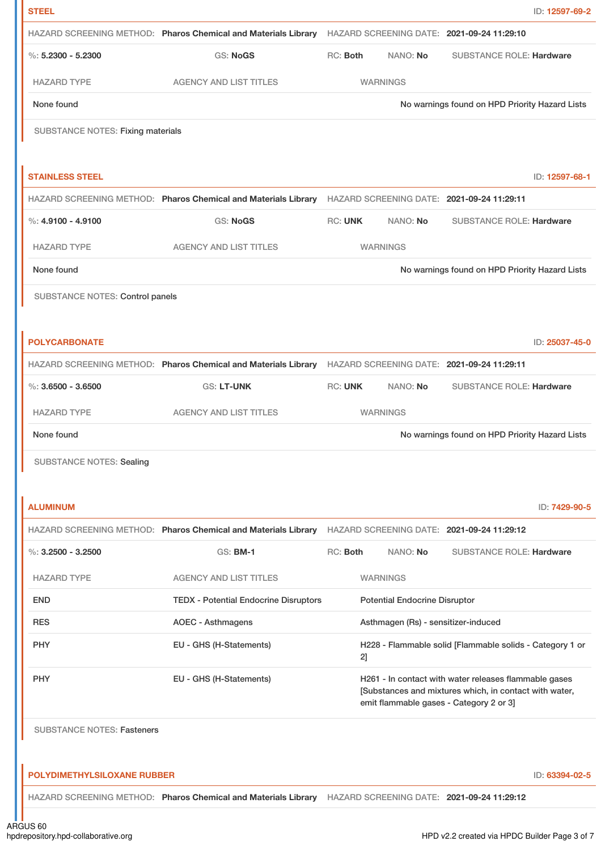| <b>STEEL</b>                             |                                                                                                           |                                                                                                                                                            |                                      |                                                          | ID: 12597-69-2 |
|------------------------------------------|-----------------------------------------------------------------------------------------------------------|------------------------------------------------------------------------------------------------------------------------------------------------------------|--------------------------------------|----------------------------------------------------------|----------------|
|                                          | HAZARD SCREENING METHOD: Pharos Chemical and Materials Library                                            |                                                                                                                                                            |                                      | HAZARD SCREENING DATE: 2021-09-24 11:29:10               |                |
| $\%: 5.2300 - 5.2300$                    | <b>GS: NoGS</b>                                                                                           | RC: Both                                                                                                                                                   | NANO: No                             | <b>SUBSTANCE ROLE: Hardware</b>                          |                |
| <b>HAZARD TYPE</b>                       | <b>AGENCY AND LIST TITLES</b>                                                                             |                                                                                                                                                            | <b>WARNINGS</b>                      |                                                          |                |
| None found                               |                                                                                                           |                                                                                                                                                            |                                      | No warnings found on HPD Priority Hazard Lists           |                |
| <b>SUBSTANCE NOTES: Fixing materials</b> |                                                                                                           |                                                                                                                                                            |                                      |                                                          |                |
|                                          |                                                                                                           |                                                                                                                                                            |                                      |                                                          |                |
| <b>STAINLESS STEEL</b>                   |                                                                                                           |                                                                                                                                                            |                                      |                                                          | ID: 12597-68-1 |
|                                          | HAZARD SCREENING METHOD: Pharos Chemical and Materials Library HAZARD SCREENING DATE: 2021-09-24 11:29:11 |                                                                                                                                                            |                                      |                                                          |                |
| $\%$ : 4.9100 - 4.9100                   | <b>GS: NoGS</b>                                                                                           | <b>RC: UNK</b>                                                                                                                                             | NANO: No                             | <b>SUBSTANCE ROLE: Hardware</b>                          |                |
| <b>HAZARD TYPE</b>                       | <b>AGENCY AND LIST TITLES</b>                                                                             |                                                                                                                                                            | <b>WARNINGS</b>                      |                                                          |                |
| None found                               |                                                                                                           |                                                                                                                                                            |                                      | No warnings found on HPD Priority Hazard Lists           |                |
| SUBSTANCE NOTES: Control panels          |                                                                                                           |                                                                                                                                                            |                                      |                                                          |                |
|                                          |                                                                                                           |                                                                                                                                                            |                                      |                                                          |                |
| <b>POLYCARBONATE</b>                     |                                                                                                           |                                                                                                                                                            |                                      |                                                          | ID: 25037-45-0 |
|                                          | HAZARD SCREENING METHOD: Pharos Chemical and Materials Library                                            |                                                                                                                                                            |                                      | HAZARD SCREENING DATE: 2021-09-24 11:29:11               |                |
| %: $3.6500 - 3.6500$                     | GS: LT-UNK                                                                                                | <b>RC: UNK</b>                                                                                                                                             | NANO: No                             | <b>SUBSTANCE ROLE: Hardware</b>                          |                |
| <b>HAZARD TYPE</b>                       | <b>AGENCY AND LIST TITLES</b>                                                                             |                                                                                                                                                            | <b>WARNINGS</b>                      |                                                          |                |
| None found                               |                                                                                                           |                                                                                                                                                            |                                      | No warnings found on HPD Priority Hazard Lists           |                |
| <b>SUBSTANCE NOTES: Sealing</b>          |                                                                                                           |                                                                                                                                                            |                                      |                                                          |                |
|                                          |                                                                                                           |                                                                                                                                                            |                                      |                                                          |                |
| <b>ALUMINUM</b>                          |                                                                                                           |                                                                                                                                                            |                                      |                                                          | ID: 7429-90-5  |
|                                          | HAZARD SCREENING METHOD: Pharos Chemical and Materials Library                                            |                                                                                                                                                            |                                      | HAZARD SCREENING DATE: 2021-09-24 11:29:12               |                |
| $\%$ : 3.2500 - 3.2500                   | <b>GS: BM-1</b>                                                                                           | RC: Both                                                                                                                                                   | NANO: No                             | SUBSTANCE ROLE: Hardware                                 |                |
| <b>HAZARD TYPE</b>                       | <b>AGENCY AND LIST TITLES</b>                                                                             |                                                                                                                                                            | <b>WARNINGS</b>                      |                                                          |                |
| <b>END</b>                               | <b>TEDX - Potential Endocrine Disruptors</b>                                                              |                                                                                                                                                            | <b>Potential Endocrine Disruptor</b> |                                                          |                |
| <b>RES</b>                               | <b>AOEC - Asthmagens</b>                                                                                  |                                                                                                                                                            | Asthmagen (Rs) - sensitizer-induced  |                                                          |                |
| <b>PHY</b>                               | EU - GHS (H-Statements)                                                                                   | 2]                                                                                                                                                         |                                      | H228 - Flammable solid [Flammable solids - Category 1 or |                |
| <b>PHY</b>                               | EU - GHS (H-Statements)                                                                                   | H261 - In contact with water releases flammable gases<br>[Substances and mixtures which, in contact with water,<br>emit flammable gases - Category 2 or 3] |                                      |                                                          |                |
| <b>SUBSTANCE NOTES: Fasteners</b>        |                                                                                                           |                                                                                                                                                            |                                      |                                                          |                |
|                                          |                                                                                                           |                                                                                                                                                            |                                      |                                                          |                |
| <b>POLYDIMETHYLSILOXANE RUBBER</b>       |                                                                                                           |                                                                                                                                                            |                                      |                                                          | ID: 63394-02-5 |
|                                          | HAZARD SCREENING METHOD: Pharos Chemical and Materials Library HAZARD SCREENING DATE: 2021-09-24 11:29:12 |                                                                                                                                                            |                                      |                                                          |                |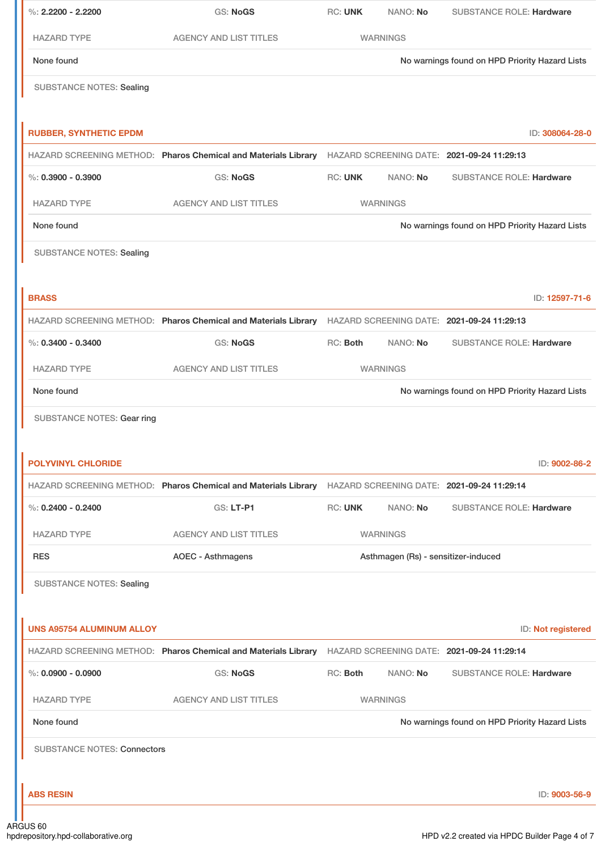| %: $2.2200 - 2.2200$               | <b>GS: NoGS</b>                                                                                           | <b>RC: UNK</b> | NANO: No                            | <b>SUBSTANCE ROLE: Hardware</b>                |
|------------------------------------|-----------------------------------------------------------------------------------------------------------|----------------|-------------------------------------|------------------------------------------------|
| <b>HAZARD TYPE</b>                 | <b>AGENCY AND LIST TITLES</b>                                                                             |                | <b>WARNINGS</b>                     |                                                |
| None found                         |                                                                                                           |                |                                     | No warnings found on HPD Priority Hazard Lists |
| <b>SUBSTANCE NOTES: Sealing</b>    |                                                                                                           |                |                                     |                                                |
| <b>RUBBER, SYNTHETIC EPDM</b>      |                                                                                                           |                |                                     | ID: 308064-28-0                                |
|                                    | HAZARD SCREENING METHOD: Pharos Chemical and Materials Library HAZARD SCREENING DATE: 2021-09-24 11:29:13 |                |                                     |                                                |
| $\%$ : 0.3900 - 0.3900             | <b>GS: NoGS</b>                                                                                           | <b>RC: UNK</b> | NANO: No                            | <b>SUBSTANCE ROLE: Hardware</b>                |
| <b>HAZARD TYPE</b>                 | <b>AGENCY AND LIST TITLES</b>                                                                             |                | <b>WARNINGS</b>                     |                                                |
| None found                         |                                                                                                           |                |                                     | No warnings found on HPD Priority Hazard Lists |
| <b>SUBSTANCE NOTES: Sealing</b>    |                                                                                                           |                |                                     |                                                |
| <b>BRASS</b>                       |                                                                                                           |                |                                     | ID: 12597-71-6                                 |
|                                    | HAZARD SCREENING METHOD: Pharos Chemical and Materials Library HAZARD SCREENING DATE: 2021-09-24 11:29:13 |                |                                     |                                                |
| $\%$ : 0.3400 - 0.3400             | <b>GS: NoGS</b>                                                                                           | RC: Both       | NANO: No                            | <b>SUBSTANCE ROLE: Hardware</b>                |
| <b>HAZARD TYPE</b>                 | <b>AGENCY AND LIST TITLES</b>                                                                             |                | <b>WARNINGS</b>                     |                                                |
| None found                         |                                                                                                           |                |                                     | No warnings found on HPD Priority Hazard Lists |
| <b>SUBSTANCE NOTES: Gear ring</b>  |                                                                                                           |                |                                     |                                                |
| <b>POLYVINYL CHLORIDE</b>          | HAZARD SCREENING METHOD: Pharos Chemical and Materials Library HAZARD SCREENING DATE: 2021-09-24 11:29:14 |                |                                     | ID: 9002-86-2                                  |
| $\%$ : 0.2400 - 0.2400             | GS: LT-P1                                                                                                 | <b>RC: UNK</b> | NANO: No                            | <b>SUBSTANCE ROLE: Hardware</b>                |
| <b>HAZARD TYPE</b>                 | <b>AGENCY AND LIST TITLES</b>                                                                             |                | <b>WARNINGS</b>                     |                                                |
| <b>RES</b>                         | <b>AOEC - Asthmagens</b>                                                                                  |                | Asthmagen (Rs) - sensitizer-induced |                                                |
|                                    |                                                                                                           |                |                                     |                                                |
| <b>SUBSTANCE NOTES: Sealing</b>    |                                                                                                           |                |                                     |                                                |
| <b>UNS A95754 ALUMINUM ALLOY</b>   |                                                                                                           |                |                                     | ID: Not registered                             |
|                                    | HAZARD SCREENING METHOD: Pharos Chemical and Materials Library HAZARD SCREENING DATE: 2021-09-24 11:29:14 |                |                                     |                                                |
| $\%$ : 0.0900 - 0.0900             | <b>GS: NoGS</b>                                                                                           | RC: Both       | NANO: No                            | <b>SUBSTANCE ROLE: Hardware</b>                |
| <b>HAZARD TYPE</b>                 | <b>AGENCY AND LIST TITLES</b>                                                                             |                | <b>WARNINGS</b>                     |                                                |
| None found                         |                                                                                                           |                |                                     | No warnings found on HPD Priority Hazard Lists |
| <b>SUBSTANCE NOTES: Connectors</b> |                                                                                                           |                |                                     |                                                |
|                                    |                                                                                                           |                |                                     |                                                |
| <b>ABS RESIN</b>                   |                                                                                                           |                |                                     | ID: 9003-56-9                                  |

. In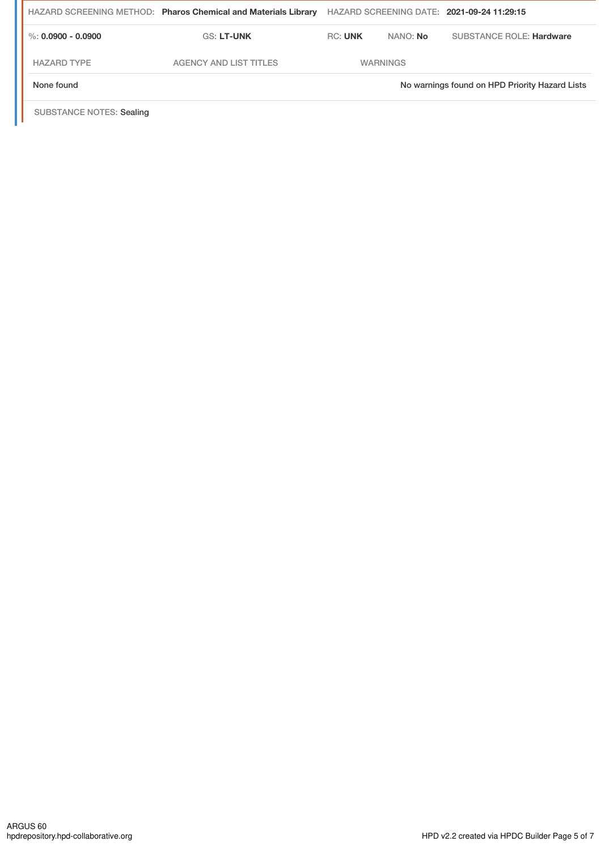|                      | HAZARD SCREENING METHOD: Pharos Chemical and Materials Library |                |                 | HAZARD SCREENING DATE: 2021-09-24 11:29:15     |
|----------------------|----------------------------------------------------------------|----------------|-----------------|------------------------------------------------|
| %: $0.0900 - 0.0900$ | <b>GS: LT-UNK</b>                                              | <b>RC: UNK</b> | NANO: No        | <b>SUBSTANCE ROLE: Hardware</b>                |
| <b>HAZARD TYPE</b>   | <b>AGENCY AND LIST TITLES</b>                                  |                | <b>WARNINGS</b> |                                                |
| None found           |                                                                |                |                 | No warnings found on HPD Priority Hazard Lists |

SUBSTANCE NOTES: Sealing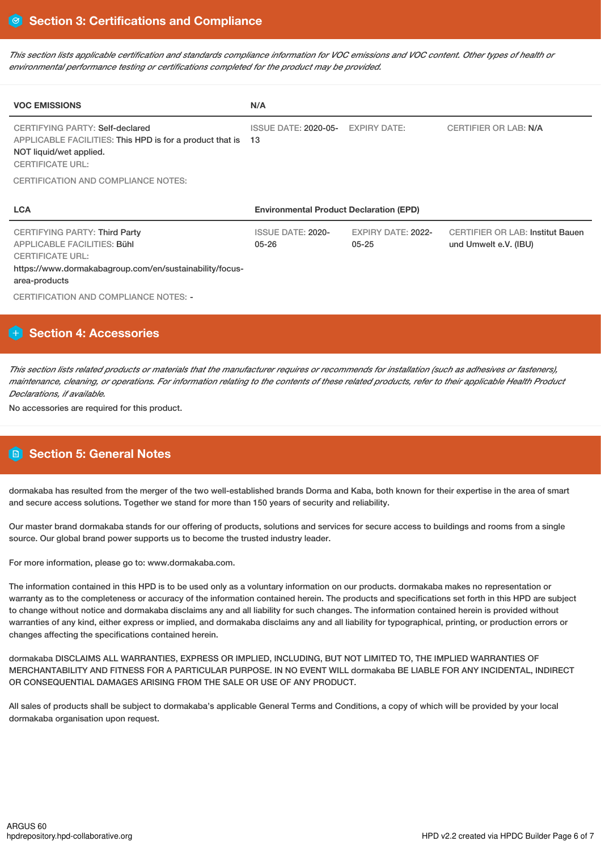This section lists applicable certification and standards compliance information for VOC emissions and VOC content. Other types of health or *environmental performance testing or certifications completed for the product may be provided.*

| <b>VOC EMISSIONS</b>                                                                                                                                                              | N/A                                            |                                 |                                                                  |  |  |
|-----------------------------------------------------------------------------------------------------------------------------------------------------------------------------------|------------------------------------------------|---------------------------------|------------------------------------------------------------------|--|--|
| CERTIFYING PARTY: Self-declared<br>APPLICABLE FACILITIES: This HPD is for a product that is<br>NOT liquid/wet applied.<br><b>CERTIFICATE URL:</b>                                 | <b>ISSUE DATE: 2020-05-</b><br>13              | <b>EXPIRY DATE:</b>             | <b>CERTIFIER OR LAB: N/A</b>                                     |  |  |
| CERTIFICATION AND COMPLIANCE NOTES:                                                                                                                                               |                                                |                                 |                                                                  |  |  |
|                                                                                                                                                                                   | <b>Environmental Product Declaration (EPD)</b> |                                 |                                                                  |  |  |
| <b>LCA</b>                                                                                                                                                                        |                                                |                                 |                                                                  |  |  |
| <b>CERTIFYING PARTY: Third Party</b><br><b>APPLICABLE FACILITIES: Bühl</b><br><b>CERTIFICATE URL:</b><br>https://www.dormakabagroup.com/en/sustainability/focus-<br>area-products | <b>ISSUE DATE: 2020-</b><br>$05 - 26$          | EXPIRY DATE: 2022-<br>$05 - 25$ | <b>CERTIFIER OR LAB: Institut Bauen</b><br>und Umwelt e.V. (IBU) |  |  |

# **Section 4: Accessories**

This section lists related products or materials that the manufacturer requires or recommends for installation (such as adhesives or fasteners), maintenance, cleaning, or operations. For information relating to the contents of these related products, refer to their applicable Health Product *Declarations, if available.*

No accessories are required for this product.

# **Section 5: General Notes**

dormakaba has resulted from the merger of the two well-established brands Dorma and Kaba, both known for their expertise in the area of smart and secure access solutions. Together we stand for more than 150 years of security and reliability.

Our master brand dormakaba stands for our offering of products, solutions and services for secure access to buildings and rooms from a single source. Our global brand power supports us to become the trusted industry leader.

For more information, please go to: www.dormakaba.com.

The information contained in this HPD is to be used only as a voluntary information on our products. dormakaba makes no representation or warranty as to the completeness or accuracy of the information contained herein. The products and specifications set forth in this HPD are subject to change without notice and dormakaba disclaims any and all liability for such changes. The information contained herein is provided without warranties of any kind, either express or implied, and dormakaba disclaims any and all liability for typographical, printing, or production errors or changes affecting the specifications contained herein.

dormakaba DISCLAIMS ALL WARRANTIES, EXPRESS OR IMPLIED, INCLUDING, BUT NOT LIMITED TO, THE IMPLIED WARRANTIES OF MERCHANTABILITY AND FITNESS FOR A PARTICULAR PURPOSE. IN NO EVENT WILL dormakaba BE LIABLE FOR ANY INCIDENTAL, INDIRECT OR CONSEQUENTIAL DAMAGES ARISING FROM THE SALE OR USE OF ANY PRODUCT.

All sales of products shall be subject to dormakaba's applicable General Terms and Conditions, a copy of which will be provided by your local dormakaba organisation upon request.